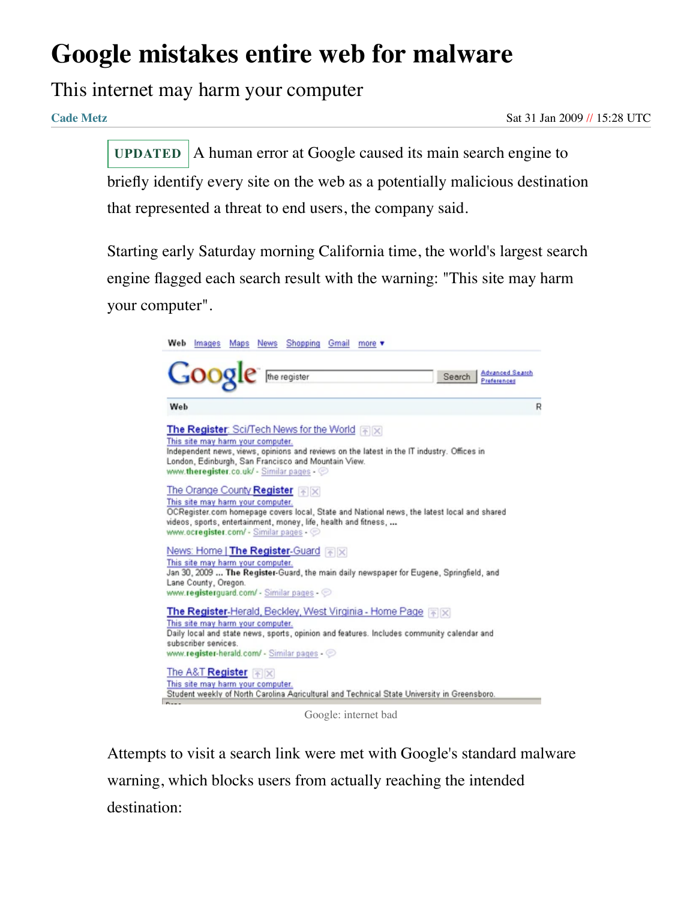## **Google mistakes entire web for malware**

## This internet may harm your computer

**[Cade](https://www.theregister.com/Author/Cade-Metz) Metz** Sat 31 Jan 2009 // 15:28 UTC

A human error at Google caused its main search engine to briefly identify every site on the web as a potentially malicious destination that represented a threat to end users, the company said. **UPDATED**

Starting early Saturday morning California time, the world's largest search engine flagged each search result with the warning: "This site may harm your computer".



Google: internet bad

Attempts to visit a search link were met with Google's standard malware warning, which blocks users from actually reaching the intended destination: